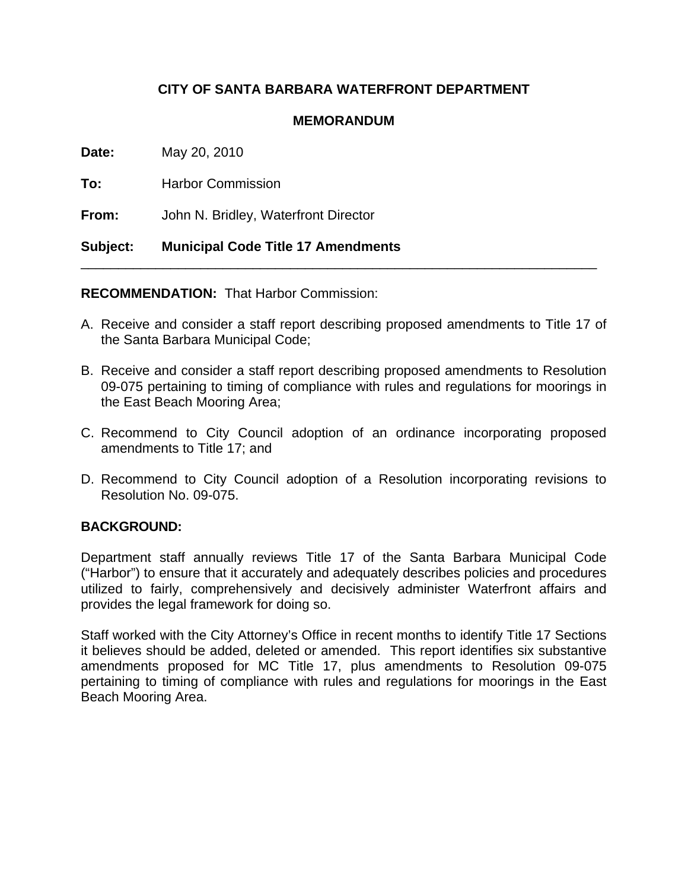# **CITY OF SANTA BARBARA WATERFRONT DEPARTMENT**

## **MEMORANDUM**

**Date:** May 20, 2010

**To:** Harbor Commission

**From:** John N. Bridley, Waterfront Director

## **Subject: Municipal Code Title 17 Amendments**

**RECOMMENDATION:** That Harbor Commission:

A. Receive and consider a staff report describing proposed amendments to Title 17 of the Santa Barbara Municipal Code;

\_\_\_\_\_\_\_\_\_\_\_\_\_\_\_\_\_\_\_\_\_\_\_\_\_\_\_\_\_\_\_\_\_\_\_\_\_\_\_\_\_\_\_\_\_\_\_\_\_\_\_\_\_\_\_\_\_\_\_\_\_\_\_\_\_\_\_\_\_

- B. Receive and consider a staff report describing proposed amendments to Resolution 09-075 pertaining to timing of compliance with rules and regulations for moorings in the East Beach Mooring Area;
- C. Recommend to City Council adoption of an ordinance incorporating proposed amendments to Title 17; and
- D. Recommend to City Council adoption of a Resolution incorporating revisions to Resolution No. 09-075.

## **BACKGROUND:**

Department staff annually reviews Title 17 of the Santa Barbara Municipal Code ("Harbor") to ensure that it accurately and adequately describes policies and procedures utilized to fairly, comprehensively and decisively administer Waterfront affairs and provides the legal framework for doing so.

Staff worked with the City Attorney's Office in recent months to identify Title 17 Sections it believes should be added, deleted or amended. This report identifies six substantive amendments proposed for MC Title 17, plus amendments to Resolution 09-075 pertaining to timing of compliance with rules and regulations for moorings in the East Beach Mooring Area.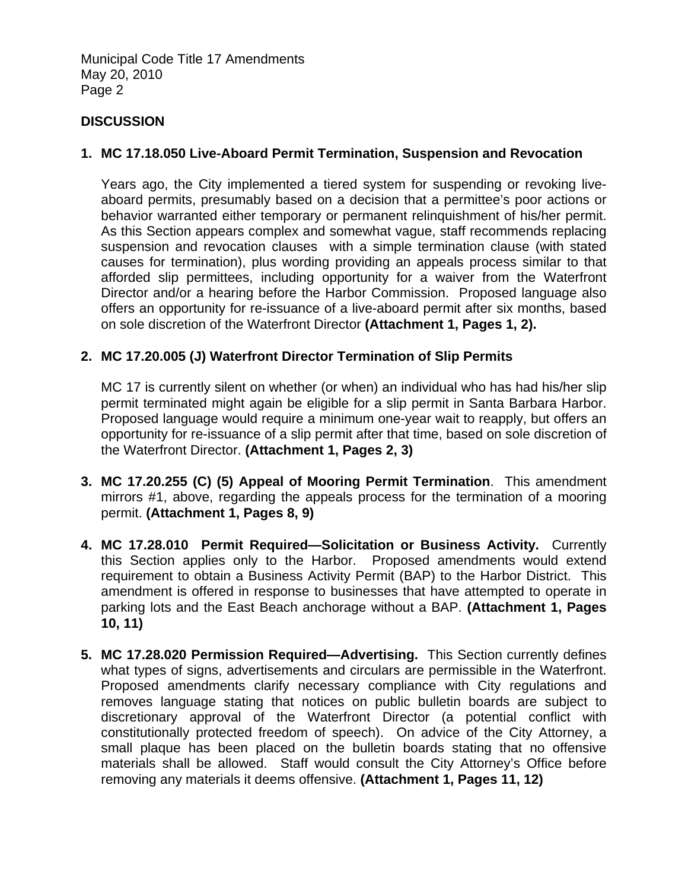Municipal Code Title 17 Amendments May 20, 2010 Page 2

## **DISCUSSION**

## **1. MC 17.18.050 Live-Aboard Permit Termination, Suspension and Revocation**

Years ago, the City implemented a tiered system for suspending or revoking liveaboard permits, presumably based on a decision that a permittee's poor actions or behavior warranted either temporary or permanent relinquishment of his/her permit. As this Section appears complex and somewhat vague, staff recommends replacing suspension and revocation clauses with a simple termination clause (with stated causes for termination), plus wording providing an appeals process similar to that afforded slip permittees, including opportunity for a waiver from the Waterfront Director and/or a hearing before the Harbor Commission. Proposed language also offers an opportunity for re-issuance of a live-aboard permit after six months, based on sole discretion of the Waterfront Director **(Attachment 1, Pages 1, 2).** 

## **2. MC 17.20.005 (J) Waterfront Director Termination of Slip Permits**

MC 17 is currently silent on whether (or when) an individual who has had his/her slip permit terminated might again be eligible for a slip permit in Santa Barbara Harbor. Proposed language would require a minimum one-year wait to reapply, but offers an opportunity for re-issuance of a slip permit after that time, based on sole discretion of the Waterfront Director. **(Attachment 1, Pages 2, 3)** 

- **3. MC 17.20.255 (C) (5) Appeal of Mooring Permit Termination**. This amendment mirrors #1, above, regarding the appeals process for the termination of a mooring permit. **(Attachment 1, Pages 8, 9)**
- **4. MC 17.28.010 Permit Required—Solicitation or Business Activity.** Currently this Section applies only to the Harbor. Proposed amendments would extend requirement to obtain a Business Activity Permit (BAP) to the Harbor District. This amendment is offered in response to businesses that have attempted to operate in parking lots and the East Beach anchorage without a BAP. **(Attachment 1, Pages 10, 11)**
- **5. MC 17.28.020 Permission Required—Advertising.** This Section currently defines what types of signs, advertisements and circulars are permissible in the Waterfront. Proposed amendments clarify necessary compliance with City regulations and removes language stating that notices on public bulletin boards are subject to discretionary approval of the Waterfront Director (a potential conflict with constitutionally protected freedom of speech). On advice of the City Attorney, a small plaque has been placed on the bulletin boards stating that no offensive materials shall be allowed. Staff would consult the City Attorney's Office before removing any materials it deems offensive. **(Attachment 1, Pages 11, 12)**